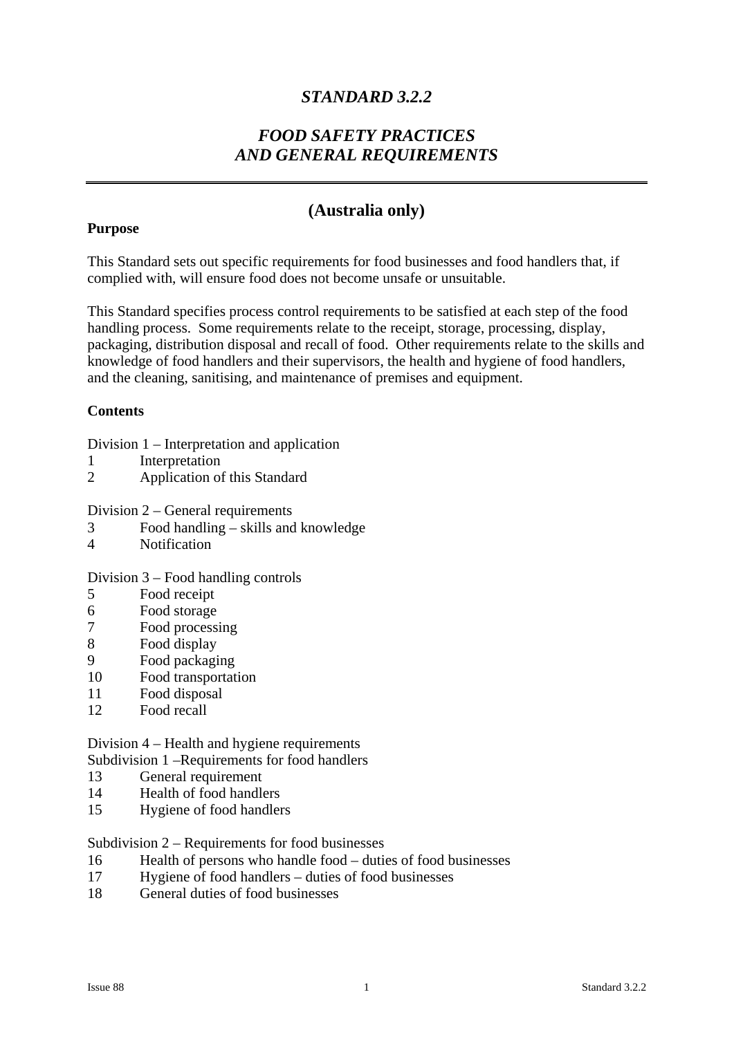## *STANDARD 3.2.2*

## *FOOD SAFETY PRACTICES AND GENERAL REQUIREMENTS*

## **(Australia only)**

#### **Purpose**

This Standard sets out specific requirements for food businesses and food handlers that, if complied with, will ensure food does not become unsafe or unsuitable.

This Standard specifies process control requirements to be satisfied at each step of the food handling process. Some requirements relate to the receipt, storage, processing, display, packaging, distribution disposal and recall of food. Other requirements relate to the skills and knowledge of food handlers and their supervisors, the health and hygiene of food handlers, and the cleaning, sanitising, and maintenance of premises and equipment.

#### **Contents**

- Division 1 Interpretation and application
- 1 Interpretation
- 2 Application of this Standard
- Division 2 General requirements
- 3 Food handling skills and knowledge
- 4 Notification

#### Division 3 – Food handling controls

- 5 Food receipt
- 6 Food storage
- 7 Food processing
- 8 Food display
- 9 Food packaging
- 10 Food transportation
- 11 Food disposal
- 12 Food recall

# Division 4 – Health and hygiene requirements

Subdivision 1 –Requirements for food handlers

- 13 General requirement
- 14 Health of food handlers
- 15 Hygiene of food handlers

Subdivision 2 – Requirements for food businesses

- 16 Health of persons who handle food duties of food businesses
- 17 Hygiene of food handlers duties of food businesses
- 18 General duties of food businesses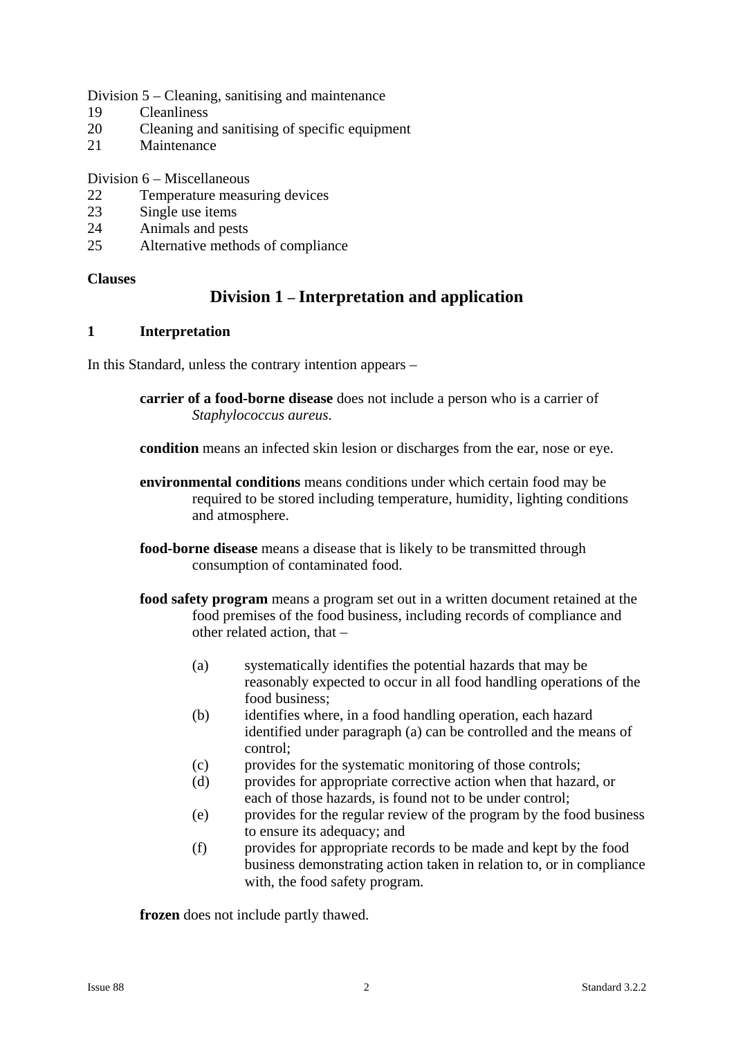#### Division 5 – Cleaning, sanitising and maintenance

- 19 Cleanliness
- 20 Cleaning and sanitising of specific equipment
- 21 Maintenance

#### Division 6 – Miscellaneous

- 22 Temperature measuring devices
- 23 Single use items
- 24 Animals and pests
- 25 Alternative methods of compliance

#### **Clauses**

## **Division 1 – Interpretation and application**

#### **1 Interpretation**

In this Standard, unless the contrary intention appears –

**carrier of a food-borne disease** does not include a person who is a carrier of *Staphylococcus aureus*.

**condition** means an infected skin lesion or discharges from the ear, nose or eye.

- **environmental conditions** means conditions under which certain food may be required to be stored including temperature, humidity, lighting conditions and atmosphere.
- **food-borne disease** means a disease that is likely to be transmitted through consumption of contaminated food.
- **food safety program** means a program set out in a written document retained at the food premises of the food business, including records of compliance and other related action, that –
	- (a) systematically identifies the potential hazards that may be reasonably expected to occur in all food handling operations of the food business;
	- (b) identifies where, in a food handling operation, each hazard identified under paragraph (a) can be controlled and the means of control;
	- (c) provides for the systematic monitoring of those controls;
	- (d) provides for appropriate corrective action when that hazard, or each of those hazards, is found not to be under control;
	- (e) provides for the regular review of the program by the food business to ensure its adequacy; and
	- (f) provides for appropriate records to be made and kept by the food business demonstrating action taken in relation to, or in compliance with, the food safety program.

**frozen** does not include partly thawed.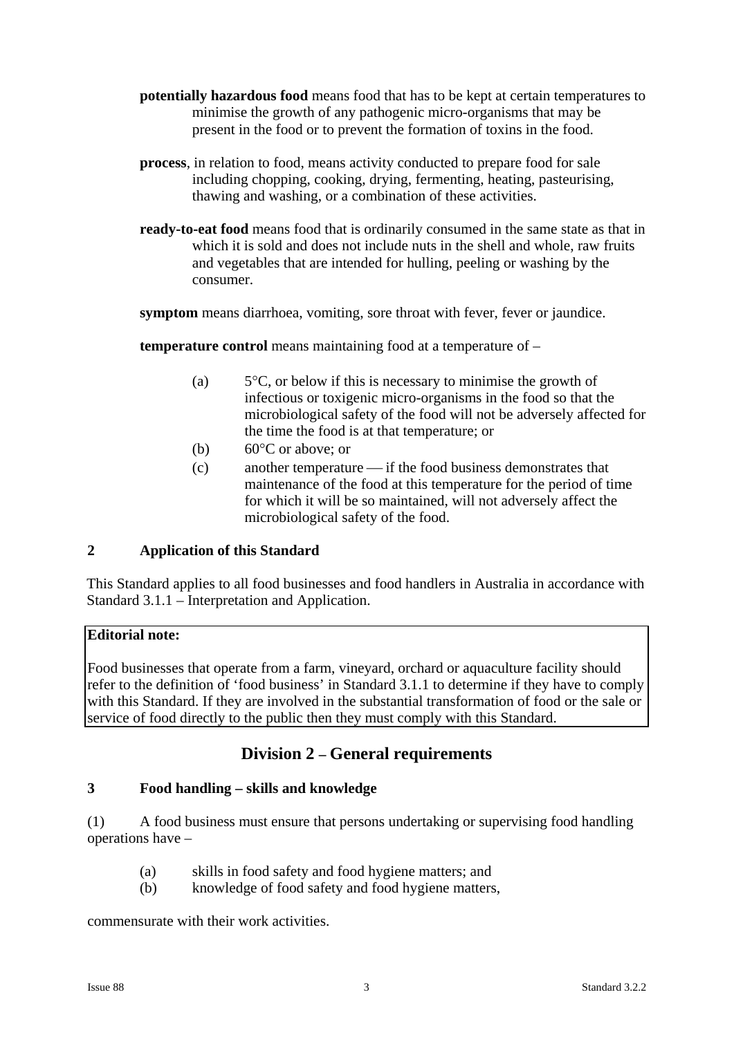- **potentially hazardous food** means food that has to be kept at certain temperatures to minimise the growth of any pathogenic micro-organisms that may be present in the food or to prevent the formation of toxins in the food.
- **process**, in relation to food, means activity conducted to prepare food for sale including chopping, cooking, drying, fermenting, heating, pasteurising, thawing and washing, or a combination of these activities.
- **ready-to-eat food** means food that is ordinarily consumed in the same state as that in which it is sold and does not include nuts in the shell and whole, raw fruits and vegetables that are intended for hulling, peeling or washing by the consumer.

**symptom** means diarrhoea, vomiting, sore throat with fever, fever or jaundice.

**temperature control** means maintaining food at a temperature of –

- (a)  $5^{\circ}$ C, or below if this is necessary to minimise the growth of infectious or toxigenic micro-organisms in the food so that the microbiological safety of the food will not be adversely affected for the time the food is at that temperature; or
- (b)  $60^{\circ}$ C or above; or
- (c) another temperature if the food business demonstrates that maintenance of the food at this temperature for the period of time for which it will be so maintained, will not adversely affect the microbiological safety of the food.

## **2 Application of this Standard**

This Standard applies to all food businesses and food handlers in Australia in accordance with Standard 3.1.1 – Interpretation and Application.

#### **Editorial note:**

Food businesses that operate from a farm, vineyard, orchard or aquaculture facility should refer to the definition of 'food business' in Standard 3.1.1 to determine if they have to comply with this Standard. If they are involved in the substantial transformation of food or the sale or service of food directly to the public then they must comply with this Standard.

## **Division 2 – General requirements**

#### **3 Food handling – skills and knowledge**

(1) A food business must ensure that persons undertaking or supervising food handling operations have –

- (a) skills in food safety and food hygiene matters; and
- (b) knowledge of food safety and food hygiene matters,

commensurate with their work activities.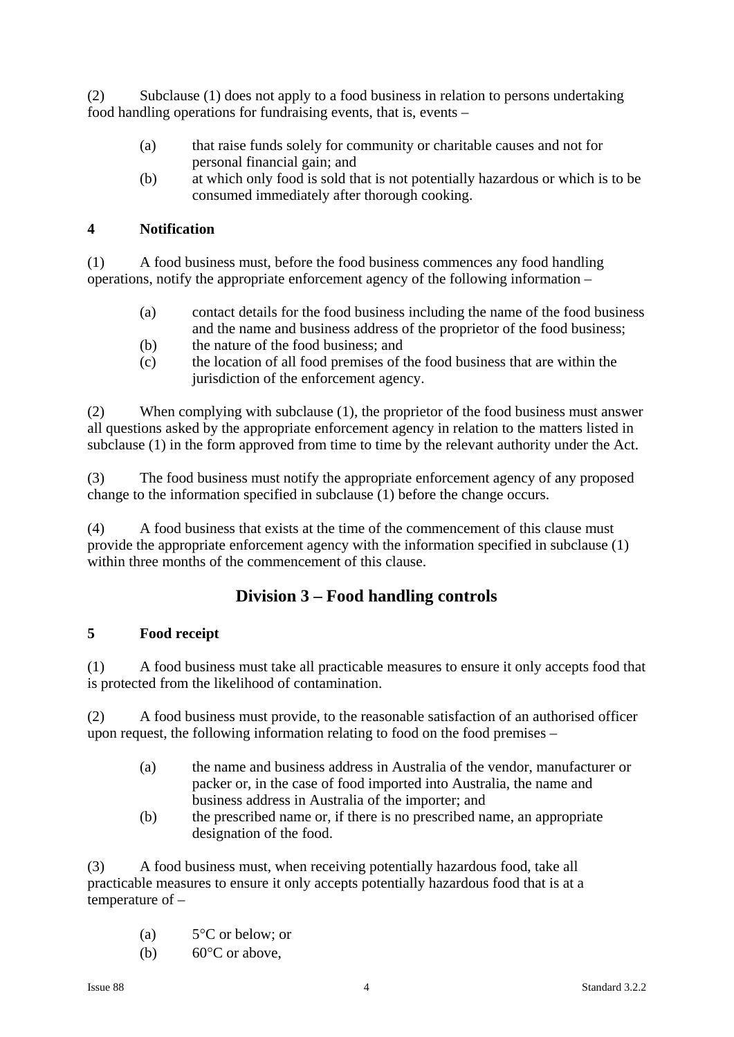(2) Subclause (1) does not apply to a food business in relation to persons undertaking food handling operations for fundraising events, that is, events –

- (a) that raise funds solely for community or charitable causes and not for personal financial gain; and
- (b) at which only food is sold that is not potentially hazardous or which is to be consumed immediately after thorough cooking.

## **4 Notification**

(1) A food business must, before the food business commences any food handling operations, notify the appropriate enforcement agency of the following information –

- (a) contact details for the food business including the name of the food business and the name and business address of the proprietor of the food business;
- (b) the nature of the food business; and
- (c) the location of all food premises of the food business that are within the jurisdiction of the enforcement agency.

(2) When complying with subclause (1), the proprietor of the food business must answer all questions asked by the appropriate enforcement agency in relation to the matters listed in subclause (1) in the form approved from time to time by the relevant authority under the Act.

(3) The food business must notify the appropriate enforcement agency of any proposed change to the information specified in subclause (1) before the change occurs.

(4) A food business that exists at the time of the commencement of this clause must provide the appropriate enforcement agency with the information specified in subclause (1) within three months of the commencement of this clause.

## **Division 3 – Food handling controls**

## **5 Food receipt**

(1) A food business must take all practicable measures to ensure it only accepts food that is protected from the likelihood of contamination.

(2) A food business must provide, to the reasonable satisfaction of an authorised officer upon request, the following information relating to food on the food premises –

- (a) the name and business address in Australia of the vendor, manufacturer or packer or, in the case of food imported into Australia, the name and business address in Australia of the importer; and
- (b) the prescribed name or, if there is no prescribed name, an appropriate designation of the food.

(3) A food business must, when receiving potentially hazardous food, take all practicable measures to ensure it only accepts potentially hazardous food that is at a temperature of –

- (a)  $5^{\circ}$ C or below; or
- (b) 60°C or above,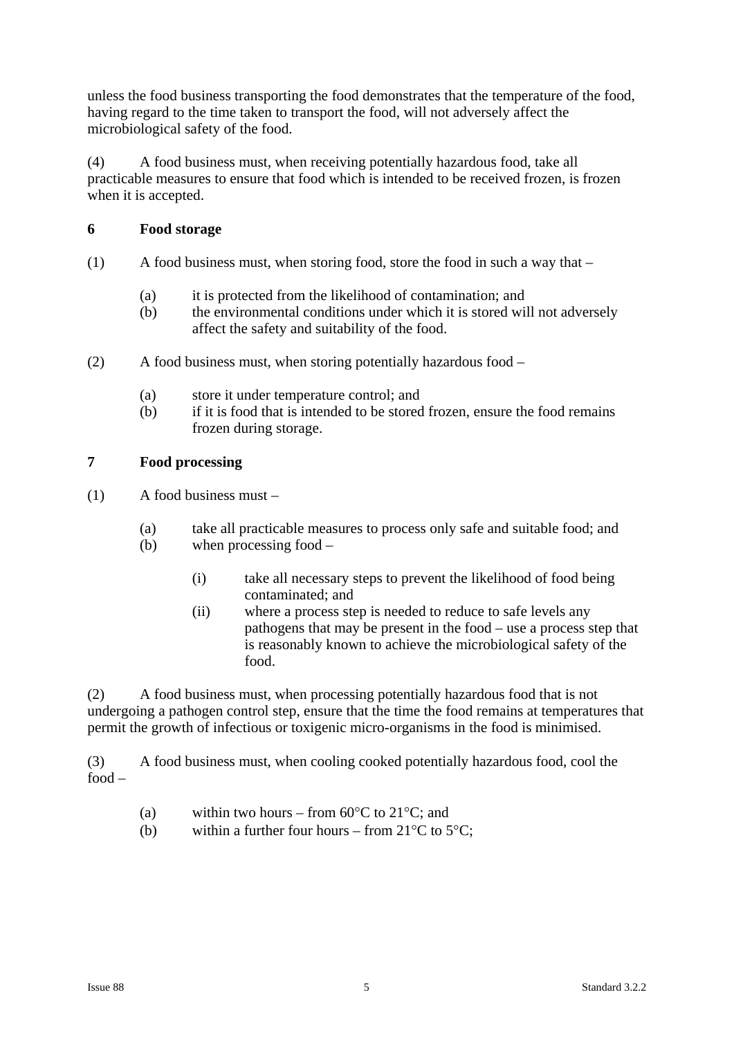unless the food business transporting the food demonstrates that the temperature of the food, having regard to the time taken to transport the food, will not adversely affect the microbiological safety of the food.

(4) A food business must, when receiving potentially hazardous food, take all practicable measures to ensure that food which is intended to be received frozen, is frozen when it is accepted.

## **6 Food storage**

- (1) A food business must, when storing food, store the food in such a way that
	- (a) it is protected from the likelihood of contamination; and
	- (b) the environmental conditions under which it is stored will not adversely affect the safety and suitability of the food.
- (2) A food business must, when storing potentially hazardous food
	- (a) store it under temperature control; and
	- (b) if it is food that is intended to be stored frozen, ensure the food remains frozen during storage.

## **7 Food processing**

- (1) A food business must
	- (a) take all practicable measures to process only safe and suitable food; and
	- (b) when processing food
		- (i) take all necessary steps to prevent the likelihood of food being contaminated; and
		- (ii) where a process step is needed to reduce to safe levels any pathogens that may be present in the food – use a process step that is reasonably known to achieve the microbiological safety of the food.

(2) A food business must, when processing potentially hazardous food that is not undergoing a pathogen control step, ensure that the time the food remains at temperatures that permit the growth of infectious or toxigenic micro-organisms in the food is minimised.

(3) A food business must, when cooling cooked potentially hazardous food, cool the food –

- (a) within two hours from  $60^{\circ}$ C to  $21^{\circ}$ C; and
- (b) within a further four hours from  $21^{\circ}$ C to  $5^{\circ}$ C;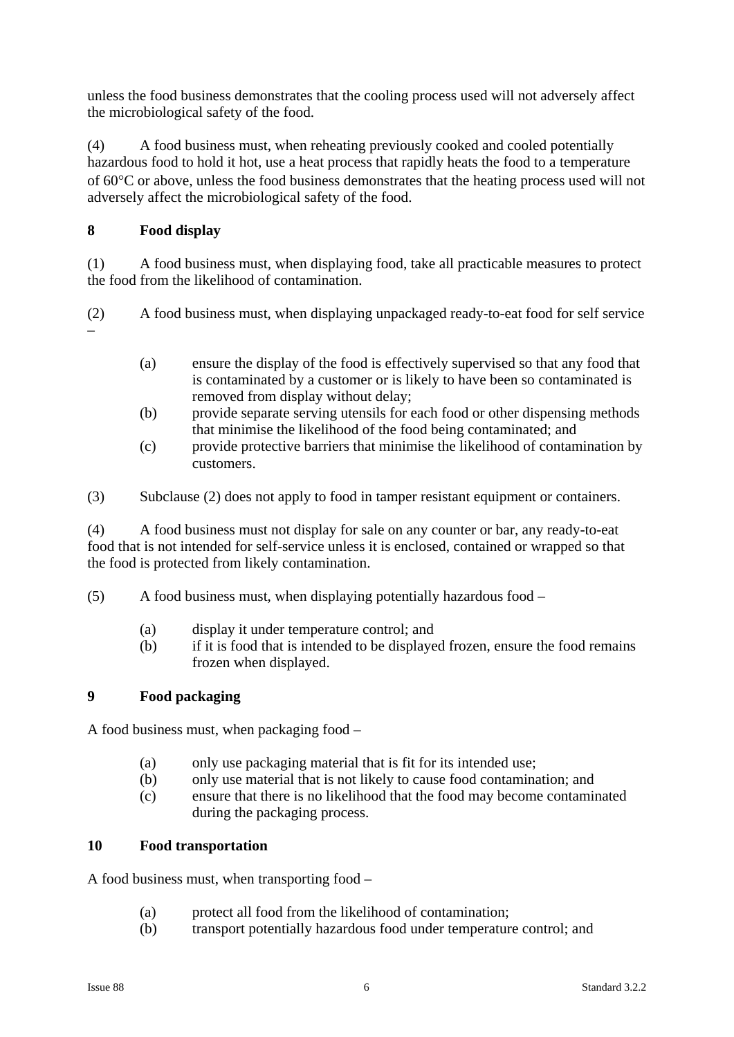unless the food business demonstrates that the cooling process used will not adversely affect the microbiological safety of the food.

(4) A food business must, when reheating previously cooked and cooled potentially hazardous food to hold it hot, use a heat process that rapidly heats the food to a temperature of 60°C or above, unless the food business demonstrates that the heating process used will not adversely affect the microbiological safety of the food.

## **8 Food display**

(1) A food business must, when displaying food, take all practicable measures to protect the food from the likelihood of contamination.

(2) A food business must, when displaying unpackaged ready-to-eat food for self service –

- (a) ensure the display of the food is effectively supervised so that any food that is contaminated by a customer or is likely to have been so contaminated is removed from display without delay;
- (b) provide separate serving utensils for each food or other dispensing methods that minimise the likelihood of the food being contaminated; and
- (c) provide protective barriers that minimise the likelihood of contamination by customers.
- (3) Subclause (2) does not apply to food in tamper resistant equipment or containers.

(4) A food business must not display for sale on any counter or bar, any ready-to-eat food that is not intended for self-service unless it is enclosed, contained or wrapped so that the food is protected from likely contamination.

- (5) A food business must, when displaying potentially hazardous food
	- (a) display it under temperature control; and
	- (b) if it is food that is intended to be displayed frozen, ensure the food remains frozen when displayed.

## **9 Food packaging**

A food business must, when packaging food –

- (a) only use packaging material that is fit for its intended use;
- (b) only use material that is not likely to cause food contamination; and
- (c) ensure that there is no likelihood that the food may become contaminated during the packaging process.

## **10 Food transportation**

A food business must, when transporting food –

- (a) protect all food from the likelihood of contamination;
- (b) transport potentially hazardous food under temperature control; and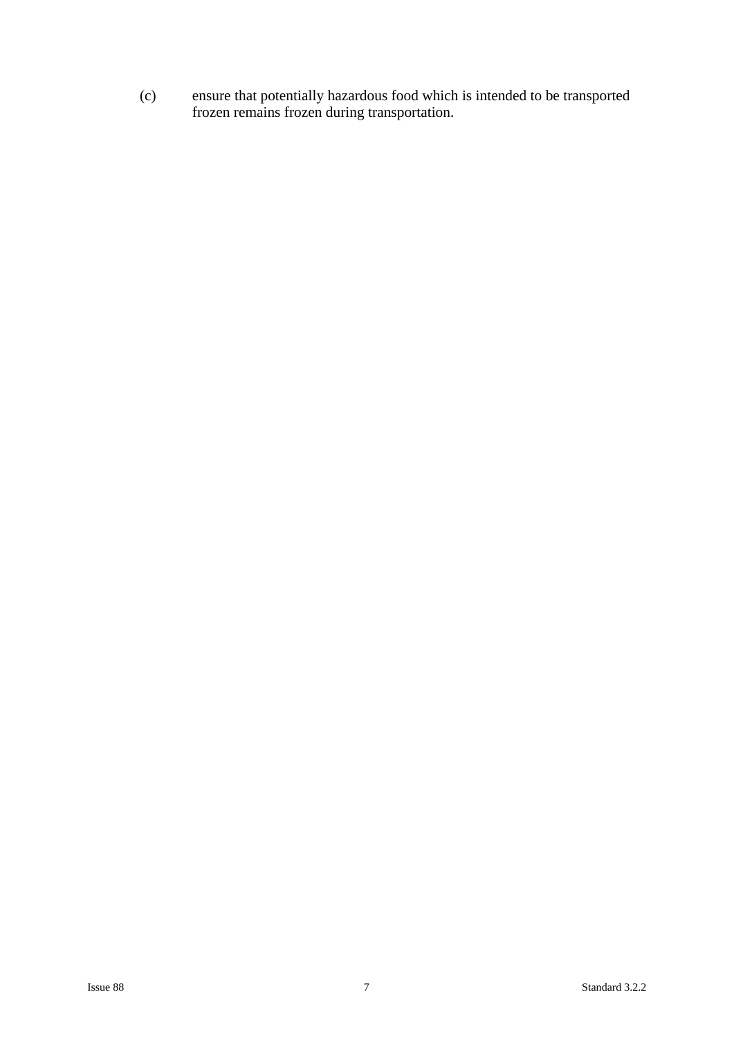(c) ensure that potentially hazardous food which is intended to be transported frozen remains frozen during transportation.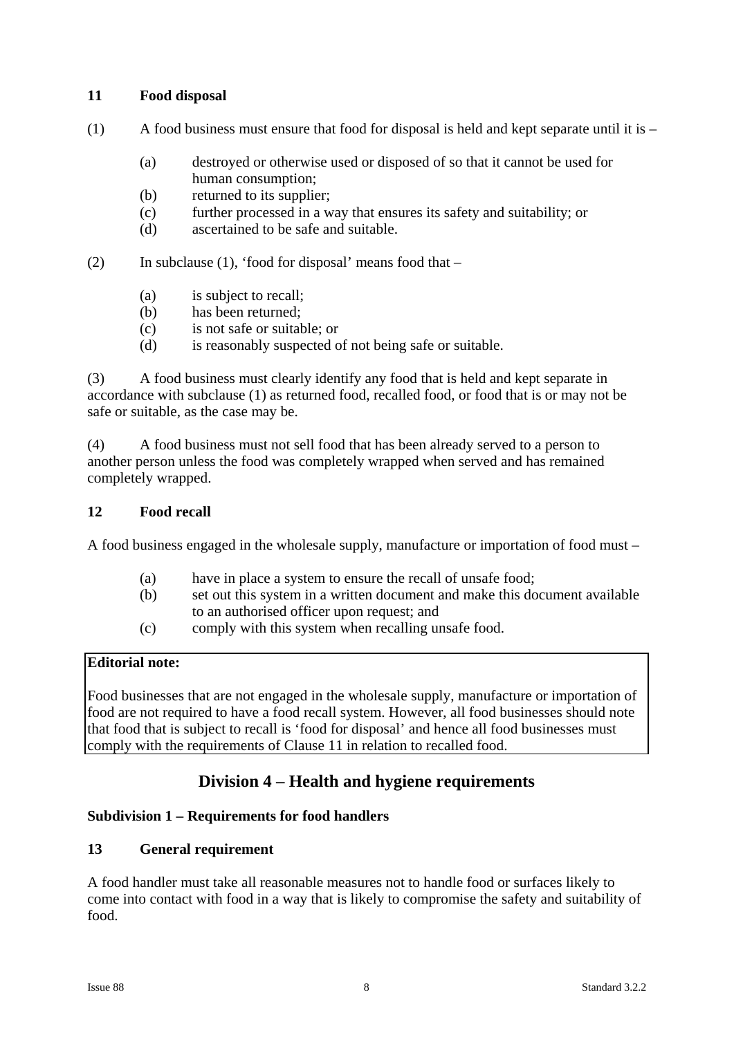## **11 Food disposal**

- $(1)$  A food business must ensure that food for disposal is held and kept separate until it is
	- (a) destroyed or otherwise used or disposed of so that it cannot be used for human consumption;
	- (b) returned to its supplier;
	- (c) further processed in a way that ensures its safety and suitability; or
	- (d) ascertained to be safe and suitable.

(2) In subclause (1), 'food for disposal' means food that  $-$ 

- (a) is subject to recall;
- (b) has been returned;
- (c) is not safe or suitable; or
- (d) is reasonably suspected of not being safe or suitable.

(3) A food business must clearly identify any food that is held and kept separate in accordance with subclause (1) as returned food, recalled food, or food that is or may not be safe or suitable, as the case may be.

(4) A food business must not sell food that has been already served to a person to another person unless the food was completely wrapped when served and has remained completely wrapped.

#### **12 Food recall**

A food business engaged in the wholesale supply, manufacture or importation of food must –

- (a) have in place a system to ensure the recall of unsafe food;
- (b) set out this system in a written document and make this document available to an authorised officer upon request; and
- (c) comply with this system when recalling unsafe food.

#### **Editorial note:**

Food businesses that are not engaged in the wholesale supply, manufacture or importation of food are not required to have a food recall system. However, all food businesses should note that food that is subject to recall is 'food for disposal' and hence all food businesses must comply with the requirements of Clause 11 in relation to recalled food.

## **Division 4 – Health and hygiene requirements**

#### **Subdivision 1 – Requirements for food handlers**

## **13 General requirement**

A food handler must take all reasonable measures not to handle food or surfaces likely to come into contact with food in a way that is likely to compromise the safety and suitability of food.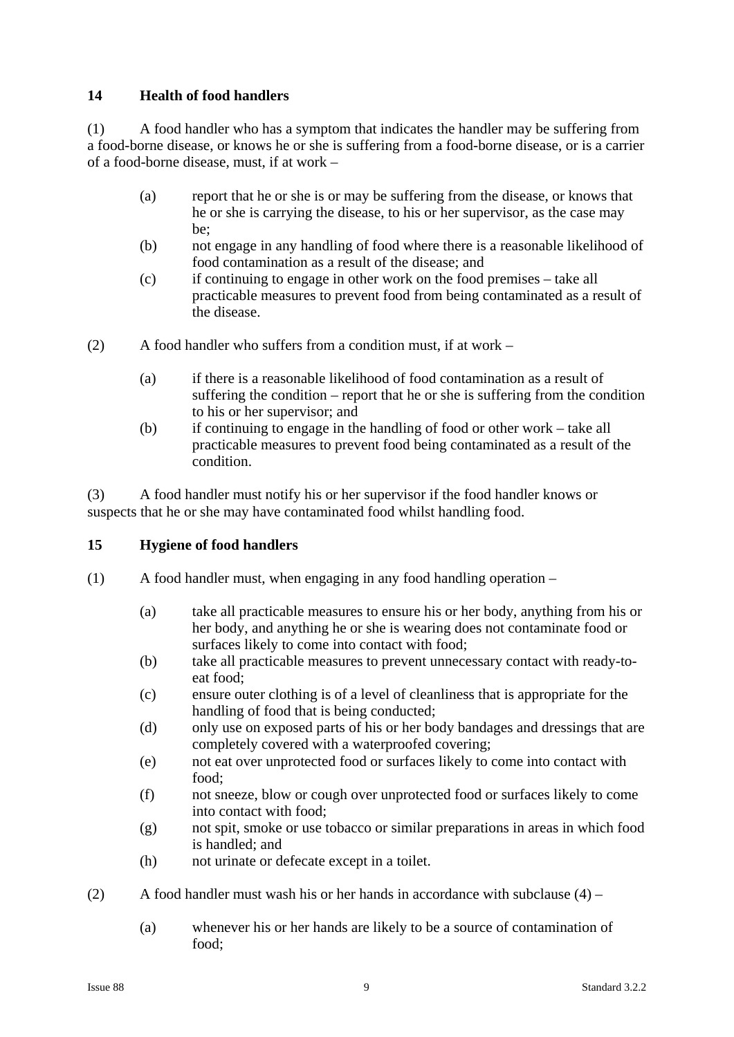## **14 Health of food handlers**

(1) A food handler who has a symptom that indicates the handler may be suffering from a food-borne disease, or knows he or she is suffering from a food-borne disease, or is a carrier of a food-borne disease, must, if at work –

- (a) report that he or she is or may be suffering from the disease, or knows that he or she is carrying the disease, to his or her supervisor, as the case may be;
- (b) not engage in any handling of food where there is a reasonable likelihood of food contamination as a result of the disease; and
- (c) if continuing to engage in other work on the food premises take all practicable measures to prevent food from being contaminated as a result of the disease.
- (2) A food handler who suffers from a condition must, if at work  $-$ 
	- (a) if there is a reasonable likelihood of food contamination as a result of suffering the condition – report that he or she is suffering from the condition to his or her supervisor; and
	- (b) if continuing to engage in the handling of food or other work take all practicable measures to prevent food being contaminated as a result of the condition.

(3) A food handler must notify his or her supervisor if the food handler knows or suspects that he or she may have contaminated food whilst handling food.

#### **15 Hygiene of food handlers**

- (1) A food handler must, when engaging in any food handling operation
	- (a) take all practicable measures to ensure his or her body, anything from his or her body, and anything he or she is wearing does not contaminate food or surfaces likely to come into contact with food;
	- (b) take all practicable measures to prevent unnecessary contact with ready-toeat food;
	- (c) ensure outer clothing is of a level of cleanliness that is appropriate for the handling of food that is being conducted;
	- (d) only use on exposed parts of his or her body bandages and dressings that are completely covered with a waterproofed covering;
	- (e) not eat over unprotected food or surfaces likely to come into contact with food;
	- (f) not sneeze, blow or cough over unprotected food or surfaces likely to come into contact with food;
	- (g) not spit, smoke or use tobacco or similar preparations in areas in which food is handled; and
	- (h) not urinate or defecate except in a toilet.
- (2) A food handler must wash his or her hands in accordance with subclause  $(4)$ 
	- (a) whenever his or her hands are likely to be a source of contamination of food;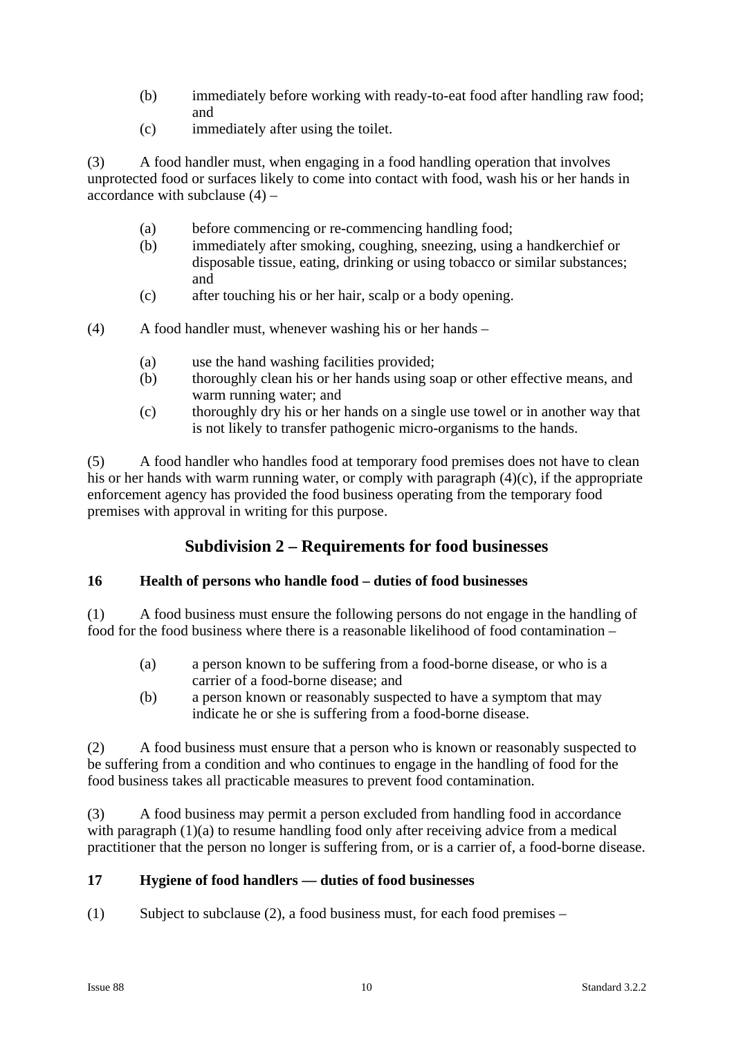- (b) immediately before working with ready-to-eat food after handling raw food; and
- (c) immediately after using the toilet.

(3) A food handler must, when engaging in a food handling operation that involves unprotected food or surfaces likely to come into contact with food, wash his or her hands in accordance with subclause  $(4)$  –

- (a) before commencing or re-commencing handling food;
- (b) immediately after smoking, coughing, sneezing, using a handkerchief or disposable tissue, eating, drinking or using tobacco or similar substances; and
- (c) after touching his or her hair, scalp or a body opening.
- (4) A food handler must, whenever washing his or her hands
	- (a) use the hand washing facilities provided;
	- (b) thoroughly clean his or her hands using soap or other effective means, and warm running water; and
	- (c) thoroughly dry his or her hands on a single use towel or in another way that is not likely to transfer pathogenic micro-organisms to the hands.

(5) A food handler who handles food at temporary food premises does not have to clean his or her hands with warm running water, or comply with paragraph (4)(c), if the appropriate enforcement agency has provided the food business operating from the temporary food premises with approval in writing for this purpose.

## **Subdivision 2 – Requirements for food businesses**

#### **16 Health of persons who handle food – duties of food businesses**

(1) A food business must ensure the following persons do not engage in the handling of food for the food business where there is a reasonable likelihood of food contamination –

- (a) a person known to be suffering from a food-borne disease, or who is a carrier of a food-borne disease; and
- (b) a person known or reasonably suspected to have a symptom that may indicate he or she is suffering from a food-borne disease.

(2) A food business must ensure that a person who is known or reasonably suspected to be suffering from a condition and who continues to engage in the handling of food for the food business takes all practicable measures to prevent food contamination.

(3) A food business may permit a person excluded from handling food in accordance with paragraph (1)(a) to resume handling food only after receiving advice from a medical practitioner that the person no longer is suffering from, or is a carrier of, a food-borne disease.

## **17 Hygiene of food handlers — duties of food businesses**

(1) Subject to subclause (2), a food business must, for each food premises –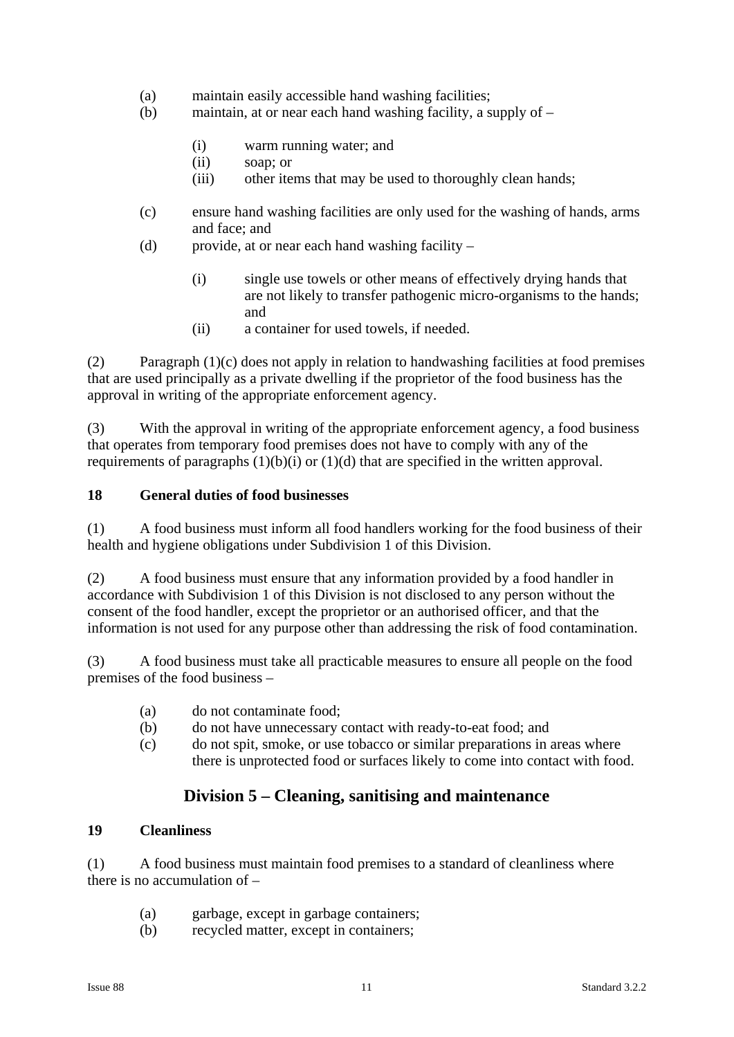- (a) maintain easily accessible hand washing facilities;
- (b) maintain, at or near each hand washing facility, a supply of
	- (i) warm running water; and
	- (ii) soap; or
	- (iii) other items that may be used to thoroughly clean hands;
- (c) ensure hand washing facilities are only used for the washing of hands, arms and face; and
- (d) provide, at or near each hand washing facility
	- (i) single use towels or other means of effectively drying hands that are not likely to transfer pathogenic micro-organisms to the hands; and
	- (ii) a container for used towels, if needed.

(2) Paragraph  $(1)(c)$  does not apply in relation to handwashing facilities at food premises that are used principally as a private dwelling if the proprietor of the food business has the approval in writing of the appropriate enforcement agency.

(3) With the approval in writing of the appropriate enforcement agency, a food business that operates from temporary food premises does not have to comply with any of the requirements of paragraphs  $(1)(b)(i)$  or  $(1)(d)$  that are specified in the written approval.

#### **18 General duties of food businesses**

(1) A food business must inform all food handlers working for the food business of their health and hygiene obligations under Subdivision 1 of this Division.

(2) A food business must ensure that any information provided by a food handler in accordance with Subdivision 1 of this Division is not disclosed to any person without the consent of the food handler, except the proprietor or an authorised officer, and that the information is not used for any purpose other than addressing the risk of food contamination.

(3) A food business must take all practicable measures to ensure all people on the food premises of the food business –

- (a) do not contaminate food;
- (b) do not have unnecessary contact with ready-to-eat food; and
- (c) do not spit, smoke, or use tobacco or similar preparations in areas where there is unprotected food or surfaces likely to come into contact with food.

## **Division 5 – Cleaning, sanitising and maintenance**

#### **19 Cleanliness**

(1) A food business must maintain food premises to a standard of cleanliness where there is no accumulation of –

- (a) garbage, except in garbage containers;
- (b) recycled matter, except in containers;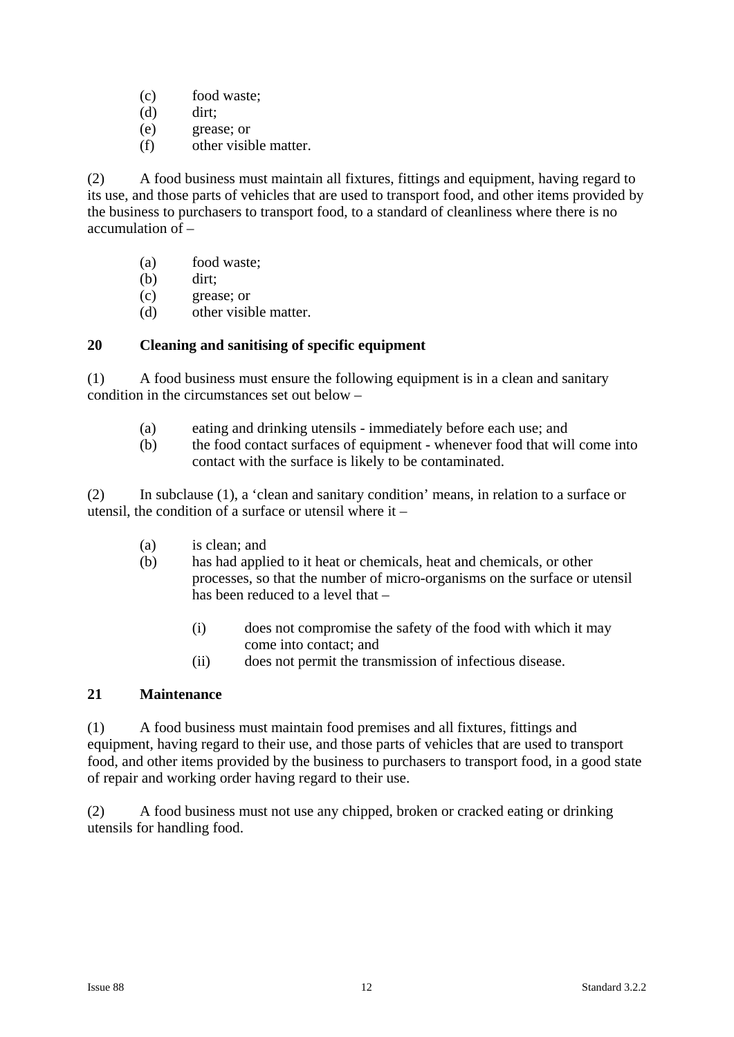- (c) food waste;
- (d) dirt;
- (e) grease; or
- (f) other visible matter.

(2) A food business must maintain all fixtures, fittings and equipment, having regard to its use, and those parts of vehicles that are used to transport food, and other items provided by the business to purchasers to transport food, to a standard of cleanliness where there is no accumulation of –

- (a) food waste;
- (b) dirt;
- (c) grease; or
- (d) other visible matter.

## **20 Cleaning and sanitising of specific equipment**

(1) A food business must ensure the following equipment is in a clean and sanitary condition in the circumstances set out below –

- (a) eating and drinking utensils immediately before each use; and
- (b) the food contact surfaces of equipment whenever food that will come into contact with the surface is likely to be contaminated.

(2) In subclause (1), a 'clean and sanitary condition' means, in relation to a surface or utensil, the condition of a surface or utensil where it –

- (a) is clean; and
- (b) has had applied to it heat or chemicals, heat and chemicals, or other processes, so that the number of micro-organisms on the surface or utensil has been reduced to a level that –
	- (i) does not compromise the safety of the food with which it may come into contact; and
	- (ii) does not permit the transmission of infectious disease.

#### **21 Maintenance**

(1) A food business must maintain food premises and all fixtures, fittings and equipment, having regard to their use, and those parts of vehicles that are used to transport food, and other items provided by the business to purchasers to transport food, in a good state of repair and working order having regard to their use.

(2) A food business must not use any chipped, broken or cracked eating or drinking utensils for handling food.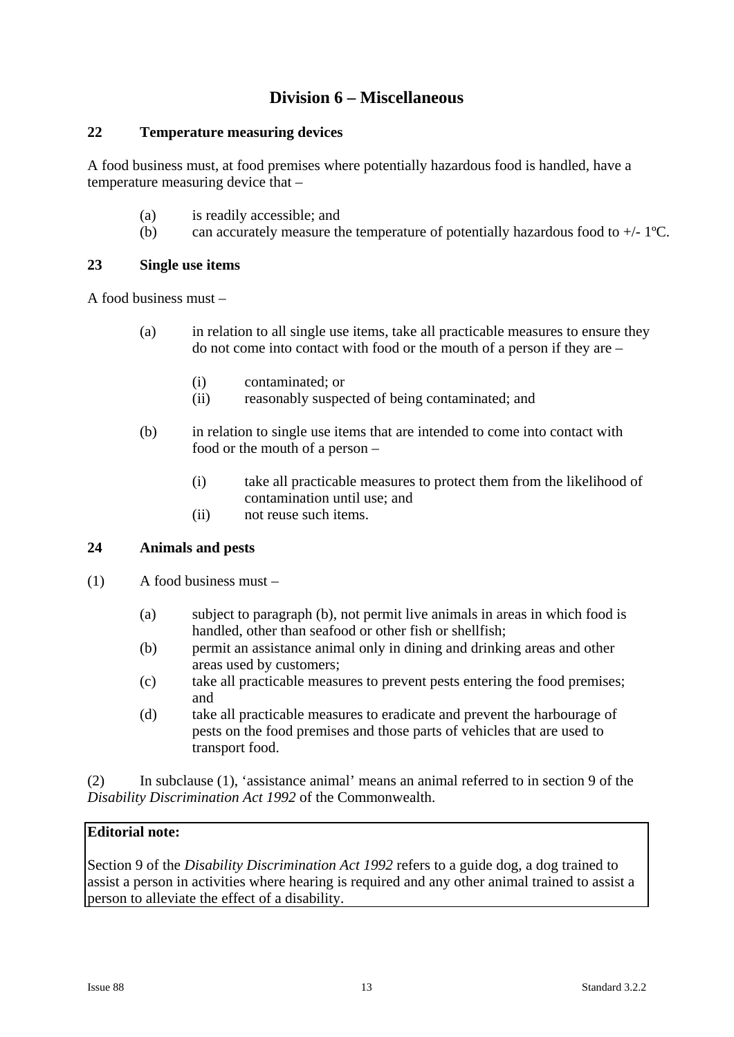## **Division 6 – Miscellaneous**

#### **22 Temperature measuring devices**

A food business must, at food premises where potentially hazardous food is handled, have a temperature measuring device that –

- (a) is readily accessible; and
- (b) can accurately measure the temperature of potentially hazardous food to  $+/- 1$ <sup>o</sup>C.

## **23 Single use items**

A food business must –

- (a) in relation to all single use items, take all practicable measures to ensure they do not come into contact with food or the mouth of a person if they are –
	- (i) contaminated; or
	- (ii) reasonably suspected of being contaminated; and
- (b) in relation to single use items that are intended to come into contact with food or the mouth of a person –
	- (i) take all practicable measures to protect them from the likelihood of contamination until use; and
	- (ii) not reuse such items.

## **24 Animals and pests**

- (1) A food business must
	- (a) subject to paragraph (b), not permit live animals in areas in which food is handled, other than seafood or other fish or shellfish;
	- (b) permit an assistance animal only in dining and drinking areas and other areas used by customers;
	- (c) take all practicable measures to prevent pests entering the food premises; and
	- (d) take all practicable measures to eradicate and prevent the harbourage of pests on the food premises and those parts of vehicles that are used to transport food.

(2) In subclause (1), 'assistance animal' means an animal referred to in section 9 of the *Disability Discrimination Act 1992* of the Commonwealth.

## **Editorial note:**

Section 9 of the *Disability Discrimination Act 1992* refers to a guide dog, a dog trained to assist a person in activities where hearing is required and any other animal trained to assist a person to alleviate the effect of a disability.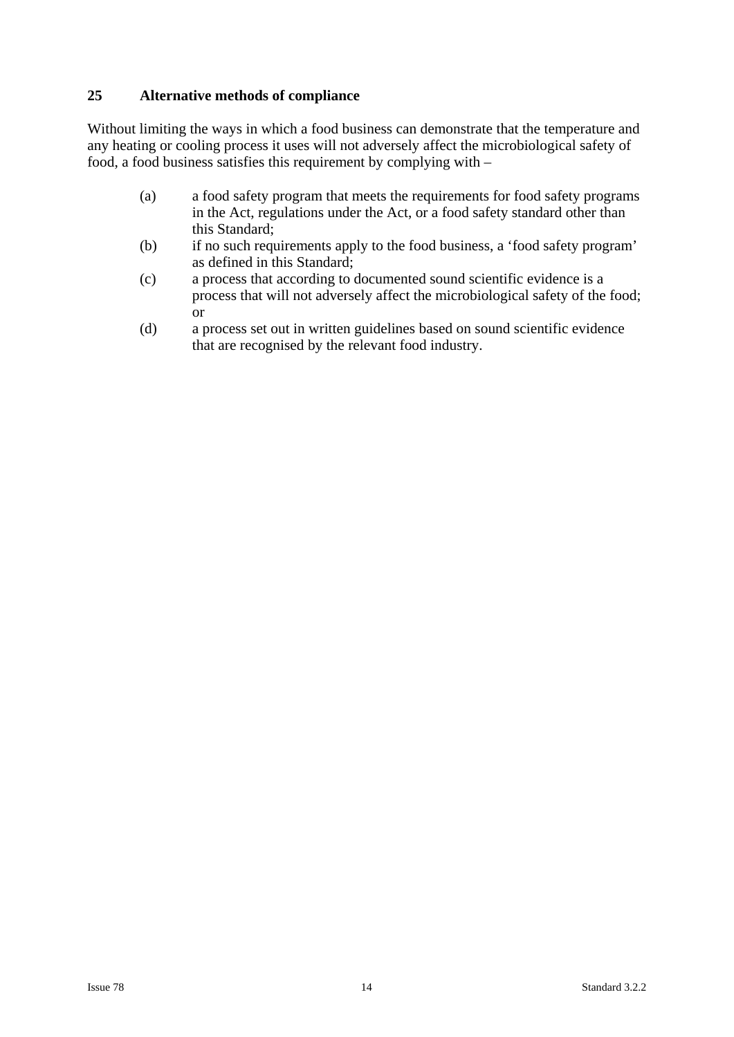## **25 Alternative methods of compliance**

Without limiting the ways in which a food business can demonstrate that the temperature and any heating or cooling process it uses will not adversely affect the microbiological safety of food, a food business satisfies this requirement by complying with –

- (a) a food safety program that meets the requirements for food safety programs in the Act, regulations under the Act, or a food safety standard other than this Standard;
- (b) if no such requirements apply to the food business, a 'food safety program' as defined in this Standard;
- (c) a process that according to documented sound scientific evidence is a process that will not adversely affect the microbiological safety of the food; or
- (d) a process set out in written guidelines based on sound scientific evidence that are recognised by the relevant food industry.